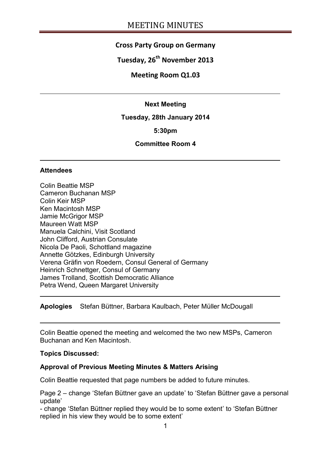# **Cross Party Group on Germany**

# **Tuesday, 26th November 2013**

### **Meeting Room Q1.03**

#### **Next Meeting**

**Tuesday, 28th January 2014**

**5:30pm**

#### **Committee Room 4**

#### **Attendees**

Colin Beattie MSP Cameron Buchanan MSP Colin Keir MSP Ken Macintosh MSP Jamie McGrigor MSP Maureen Watt MSP Manuela Calchini, Visit Scotland John Clifford, Austrian Consulate Nicola De Paoli, Schottland magazine Annette Götzkes, Edinburgh University Verena Gräfin von Roedern, Consul General of Germany Heinrich Schnettger, Consul of Germany James Trolland, Scottish Democratic Alliance Petra Wend, Queen Margaret University

**Apologies** Stefan Büttner, Barbara Kaulbach, Peter Müller McDougall

Colin Beattie opened the meeting and welcomed the two new MSPs, Cameron Buchanan and Ken Macintosh.

#### **Topics Discussed:**

#### **Approval of Previous Meeting Minutes & Matters Arising**

Colin Beattie requested that page numbers be added to future minutes.

Page 2 – change 'Stefan Büttner gave an update' to 'Stefan Büttner gave a personal update'

- change 'Stefan Büttner replied they would be to some extent' to 'Stefan Büttner replied in his view they would be to some extent'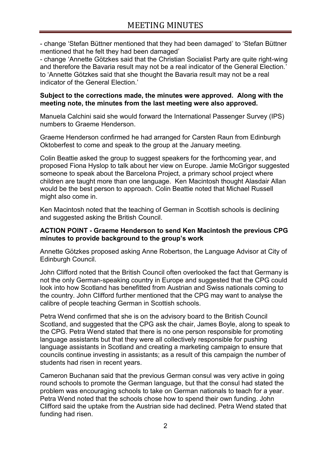- change 'Stefan Büttner mentioned that they had been damaged' to 'Stefan Büttner mentioned that he felt they had been damaged'

- change 'Annette Götzkes said that the Christian Socialist Party are quite right-wing and therefore the Bavaria result may not be a real indicator of the General Election.' to 'Annette Götzkes said that she thought the Bavaria result may not be a real indicator of the General Election.'

#### **Subject to the corrections made, the minutes were approved. Along with the meeting note, the minutes from the last meeting were also approved.**

Manuela Calchini said she would forward the International Passenger Survey (IPS) numbers to Graeme Henderson.

Graeme Henderson confirmed he had arranged for Carsten Raun from Edinburgh Oktoberfest to come and speak to the group at the January meeting.

Colin Beattie asked the group to suggest speakers for the forthcoming year, and proposed Fiona Hyslop to talk about her view on Europe. Jamie McGrigor suggested someone to speak about the Barcelona Project, a primary school project where children are taught more than one language. Ken Macintosh thought Alasdair Allan would be the best person to approach. Colin Beattie noted that Michael Russell might also come in.

Ken Macintosh noted that the teaching of German in Scottish schools is declining and suggested asking the British Council.

#### **ACTION POINT - Graeme Henderson to send Ken Macintosh the previous CPG minutes to provide background to the group's work**

Annette Götzkes proposed asking Anne Robertson, the Language Advisor at City of Edinburgh Council.

John Clifford noted that the British Council often overlooked the fact that Germany is not the only German-speaking country in Europe and suggested that the CPG could look into how Scotland has benefitted from Austrian and Swiss nationals coming to the country. John Clifford further mentioned that the CPG may want to analyse the calibre of people teaching German in Scottish schools.

Petra Wend confirmed that she is on the advisory board to the British Council Scotland, and suggested that the CPG ask the chair, James Boyle, along to speak to the CPG. Petra Wend stated that there is no one person responsible for promoting language assistants but that they were all collectively responsible for pushing language assistants in Scotland and creating a marketing campaign to ensure that councils continue investing in assistants; as a result of this campaign the number of students had risen in recent years.

Cameron Buchanan said that the previous German consul was very active in going round schools to promote the German language, but that the consul had stated the problem was encouraging schools to take on German nationals to teach for a year. Petra Wend noted that the schools chose how to spend their own funding. John Clifford said the uptake from the Austrian side had declined. Petra Wend stated that funding had risen.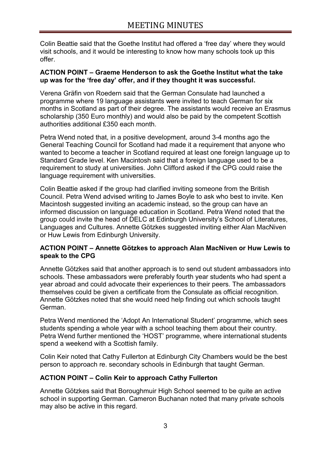Colin Beattie said that the Goethe Institut had offered a 'free day' where they would visit schools, and it would be interesting to know how many schools took up this offer.

#### **ACTION POINT – Graeme Henderson to ask the Goethe Institut what the take up was for the 'free day' offer, and if they thought it was successful.**

Verena Gräfin von Roedern said that the German Consulate had launched a programme where 19 language assistants were invited to teach German for six months in Scotland as part of their degree. The assistants would receive an Erasmus scholarship (350 Euro monthly) and would also be paid by the competent Scottish authorities additional £350 each month.

Petra Wend noted that, in a positive development, around 3-4 months ago the General Teaching Council for Scotland had made it a requirement that anyone who wanted to become a teacher in Scotland required at least one foreign language up to Standard Grade level. Ken Macintosh said that a foreign language used to be a requirement to study at universities. John Clifford asked if the CPG could raise the language requirement with universities.

Colin Beattie asked if the group had clarified inviting someone from the British Council. Petra Wend advised writing to James Boyle to ask who best to invite. Ken Macintosh suggested inviting an academic instead, so the group can have an informed discussion on language education in Scotland. Petra Wend noted that the group could invite the head of DELC at Edinburgh University's School of Literatures, Languages and Cultures. Annette Götzkes suggested inviting either Alan MacNiven or Huw Lewis from Edinburgh University.

### **ACTION POINT – Annette Götzkes to approach Alan MacNiven or Huw Lewis to speak to the CPG**

Annette Götzkes said that another approach is to send out student ambassadors into schools. These ambassadors were preferably fourth year students who had spent a year abroad and could advocate their experiences to their peers. The ambassadors themselves could be given a certificate from the Consulate as official recognition. Annette Götzkes noted that she would need help finding out which schools taught German.

Petra Wend mentioned the 'Adopt An International Student' programme, which sees students spending a whole year with a school teaching them about their country. Petra Wend further mentioned the 'HOST' programme, where international students spend a weekend with a Scottish family.

Colin Keir noted that Cathy Fullerton at Edinburgh City Chambers would be the best person to approach re. secondary schools in Edinburgh that taught German.

# **ACTION POINT – Colin Keir to approach Cathy Fullerton**

Annette Götzkes said that Boroughmuir High School seemed to be quite an active school in supporting German. Cameron Buchanan noted that many private schools may also be active in this regard.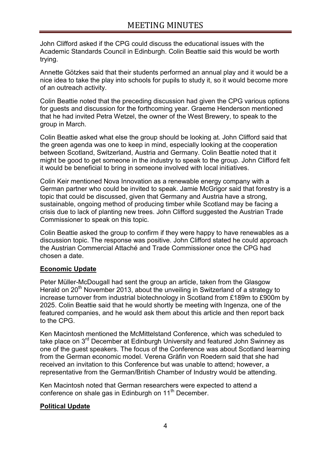John Clifford asked if the CPG could discuss the educational issues with the Academic Standards Council in Edinburgh. Colin Beattie said this would be worth trying.

Annette Götzkes said that their students performed an annual play and it would be a nice idea to take the play into schools for pupils to study it, so it would become more of an outreach activity.

Colin Beattie noted that the preceding discussion had given the CPG various options for guests and discussion for the forthcoming year. Graeme Henderson mentioned that he had invited Petra Wetzel, the owner of the West Brewery, to speak to the group in March.

Colin Beattie asked what else the group should be looking at. John Clifford said that the green agenda was one to keep in mind, especially looking at the cooperation between Scotland, Switzerland, Austria and Germany. Colin Beattie noted that it might be good to get someone in the industry to speak to the group. John Clifford felt it would be beneficial to bring in someone involved with local initiatives.

Colin Keir mentioned Nova Innovation as a renewable energy company with a German partner who could be invited to speak. Jamie McGrigor said that forestry is a topic that could be discussed, given that Germany and Austria have a strong, sustainable, ongoing method of producing timber while Scotland may be facing a crisis due to lack of planting new trees. John Clifford suggested the Austrian Trade Commissioner to speak on this topic.

Colin Beattie asked the group to confirm if they were happy to have renewables as a discussion topic. The response was positive. John Clifford stated he could approach the Austrian Commercial Attaché and Trade Commissioner once the CPG had chosen a date.

# **Economic Update**

Peter Müller-McDougall had sent the group an article, taken from the Glasgow Herald on 20<sup>th</sup> November 2013, about the unveiling in Switzerland of a strategy to increase turnover from industrial biotechnology in Scotland from £189m to £900m by 2025. Colin Beattie said that he would shortly be meeting with Ingenza, one of the featured companies, and he would ask them about this article and then report back to the CPG.

Ken Macintosh mentioned the McMittelstand Conference, which was scheduled to take place on 3<sup>rd</sup> December at Edinburgh University and featured John Swinney as one of the guest speakers. The focus of the Conference was about Scotland learning from the German economic model. Verena Gräfin von Roedern said that she had received an invitation to this Conference but was unable to attend; however, a representative from the German/British Chamber of Industry would be attending.

Ken Macintosh noted that German researchers were expected to attend a conference on shale gas in Edinburgh on 11<sup>th</sup> December.

# **Political Update**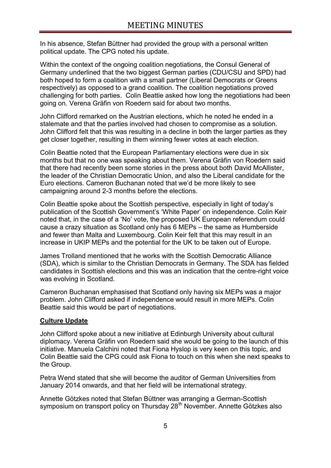In his absence, Stefan Büttner had provided the group with a personal written political update. The CPG noted his update.

Within the context of the ongoing coalition negotiations, the Consul General of Germany underlined that the two biggest German parties (CDU/CSU and SPD) had both hoped to form a coalition with a small partner (Liberal Democrats or Greens respectively) as opposed to a grand coalition. The coalition negotiations proved challenging for both parties. Colin Beattie asked how long the negotiations had been going on. Verena Gräfin von Roedern said for about two months.

John Clifford remarked on the Austrian elections, which he noted he ended in a stalemate and that the parties involved had chosen to compromise as a solution. John Clifford felt that this was resulting in a decline in both the larger parties as they get closer together, resulting in them winning fewer votes at each election.

Colin Beattie noted that the European Parliamentary elections were due in six months but that no one was speaking about them. Verena Gräfin von Roedern said that there had recently been some stories in the press about both David McAllister, the leader of the Christian Democratic Union, and also the Liberal candidate for the Euro elections. Cameron Buchanan noted that we'd be more likely to see campaigning around 2-3 months before the elections.

Colin Beattie spoke about the Scottish perspective, especially in light of today's publication of the Scottish Government's 'White Paper' on independence. Colin Keir noted that, in the case of a 'No' vote, the proposed UK European referendum could cause a crazy situation as Scotland only has 6 MEPs – the same as Humberside and fewer than Malta and Luxembourg. Colin Keir felt that this may result in an increase in UKIP MEPs and the potential for the UK to be taken out of Europe.

James Trolland mentioned that he works with the Scottish Democratic Alliance (SDA), which is similar to the Christian Democrats in Germany. The SDA has fielded candidates in Scottish elections and this was an indication that the centre-right voice was evolving in Scotland.

Cameron Buchanan emphasised that Scotland only having six MEPs was a major problem. John Clifford asked if independence would result in more MEPs. Colin Beattie said this would be part of negotiations.

# **Culture Update**

John Clifford spoke about a new initiative at Edinburgh University about cultural diplomacy. Verena Gräfin von Roedern said she would be going to the launch of this initiative. Manuela Calchini noted that Fiona Hyslop is very keen on this topic, and Colin Beattie said the CPG could ask Fiona to touch on this when she next speaks to the Group.

Petra Wend stated that she will become the auditor of German Universities from January 2014 onwards, and that her field will be international strategy.

Annette Götzkes noted that Stefan Büttner was arranging a German-Scottish symposium on transport policy on Thursday 28<sup>th</sup> November. Annette Götzkes also